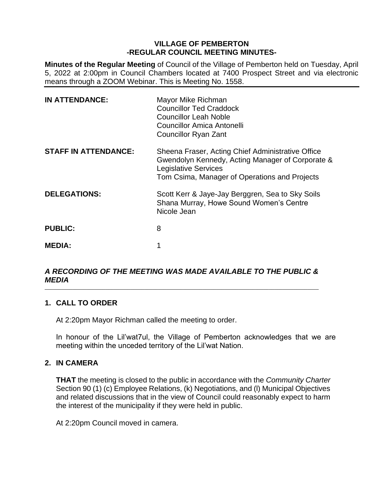# **VILLAGE OF PEMBERTON -REGULAR COUNCIL MEETING MINUTES-**

**Minutes of the Regular Meeting** of Council of the Village of Pemberton held on Tuesday, April 5, 2022 at 2:00pm in Council Chambers located at 7400 Prospect Street and via electronic means through a ZOOM Webinar. This is Meeting No. 1558.

| <b>IN ATTENDANCE:</b>       | Mayor Mike Richman<br><b>Councillor Ted Craddock</b><br><b>Councillor Leah Noble</b><br>Councillor Amica Antonelli<br><b>Councillor Ryan Zant</b>                                     |
|-----------------------------|---------------------------------------------------------------------------------------------------------------------------------------------------------------------------------------|
| <b>STAFF IN ATTENDANCE:</b> | Sheena Fraser, Acting Chief Administrative Office<br>Gwendolyn Kennedy, Acting Manager of Corporate &<br><b>Legislative Services</b><br>Tom Csima, Manager of Operations and Projects |
| <b>DELEGATIONS:</b>         | Scott Kerr & Jaye-Jay Berggren, Sea to Sky Soils<br>Shana Murray, Howe Sound Women's Centre<br>Nicole Jean                                                                            |
| <b>PUBLIC:</b>              | 8                                                                                                                                                                                     |
| <b>MEDIA:</b>               |                                                                                                                                                                                       |

#### *A RECORDING OF THE MEETING WAS MADE AVAILABLE TO THE PUBLIC & MEDIA*  $\_$  ,  $\_$  ,  $\_$  ,  $\_$  ,  $\_$  ,  $\_$  ,  $\_$  ,  $\_$  ,  $\_$  ,  $\_$  ,  $\_$  ,  $\_$  ,  $\_$  ,  $\_$  ,  $\_$  ,  $\_$  ,  $\_$  ,  $\_$  ,  $\_$  ,  $\_$  ,  $\_$  ,  $\_$  ,  $\_$  ,  $\_$  ,  $\_$  ,  $\_$  ,  $\_$  ,  $\_$  ,  $\_$  ,  $\_$  ,  $\_$  ,  $\_$  ,  $\_$  ,  $\_$  ,  $\_$  ,  $\_$  ,  $\_$  ,

# **1. CALL TO ORDER**

At 2:20pm Mayor Richman called the meeting to order.

In honour of the Lil'wat7ul, the Village of Pemberton acknowledges that we are meeting within the unceded territory of the Lil'wat Nation.

# **2. IN CAMERA**

**THAT** the meeting is closed to the public in accordance with the *Community Charter* Section 90 (1) (c) Employee Relations, (k) Negotiations, and (l) Municipal Objectives and related discussions that in the view of Council could reasonably expect to harm the interest of the municipality if they were held in public.

At 2:20pm Council moved in camera.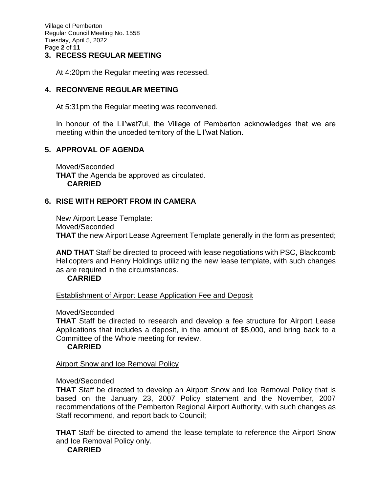Village of Pemberton Regular Council Meeting No. 1558 Tuesday, April 5, 2022 Page **2** of **11**

## **3. RECESS REGULAR MEETING**

At 4:20pm the Regular meeting was recessed.

# **4. RECONVENE REGULAR MEETING**

At 5:31pm the Regular meeting was reconvened.

In honour of the Lil'wat7ul, the Village of Pemberton acknowledges that we are meeting within the unceded territory of the Lil'wat Nation.

# **5. APPROVAL OF AGENDA**

Moved/Seconded **THAT** the Agenda be approved as circulated. **CARRIED**

# **6. RISE WITH REPORT FROM IN CAMERA**

New Airport Lease Template: Moved/Seconded **THAT** the new Airport Lease Agreement Template generally in the form as presented;

**AND THAT** Staff be directed to proceed with lease negotiations with PSC, Blackcomb Helicopters and Henry Holdings utilizing the new lease template, with such changes as are required in the circumstances.

# **CARRIED**

Establishment of Airport Lease Application Fee and Deposit

## Moved/Seconded

**THAT** Staff be directed to research and develop a fee structure for Airport Lease Applications that includes a deposit, in the amount of \$5,000, and bring back to a Committee of the Whole meeting for review.

## **CARRIED**

## **Airport Snow and Ice Removal Policy**

## Moved/Seconded

**THAT** Staff be directed to develop an Airport Snow and Ice Removal Policy that is based on the January 23, 2007 Policy statement and the November, 2007 recommendations of the Pemberton Regional Airport Authority, with such changes as Staff recommend, and report back to Council;

**THAT** Staff be directed to amend the lease template to reference the Airport Snow and Ice Removal Policy only.

**CARRIED**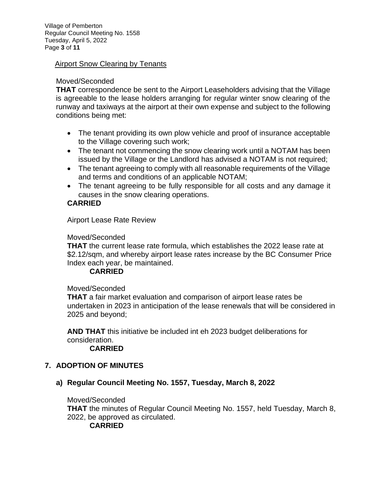Village of Pemberton Regular Council Meeting No. 1558 Tuesday, April 5, 2022 Page **3** of **11**

## Airport Snow Clearing by Tenants

## Moved/Seconded

**THAT** correspondence be sent to the Airport Leaseholders advising that the Village is agreeable to the lease holders arranging for regular winter snow clearing of the runway and taxiways at the airport at their own expense and subject to the following conditions being met:

- The tenant providing its own plow vehicle and proof of insurance acceptable to the Village covering such work;
- The tenant not commencing the snow clearing work until a NOTAM has been issued by the Village or the Landlord has advised a NOTAM is not required;
- The tenant agreeing to comply with all reasonable requirements of the Village and terms and conditions of an applicable NOTAM;
- The tenant agreeing to be fully responsible for all costs and any damage it causes in the snow clearing operations.

## **CARRIED**

Airport Lease Rate Review

#### Moved/Seconded

**THAT** the current lease rate formula, which establishes the 2022 lease rate at \$2.12/sqm, and whereby airport lease rates increase by the BC Consumer Price Index each year, be maintained.

## **CARRIED**

#### Moved/Seconded

**THAT** a fair market evaluation and comparison of airport lease rates be undertaken in 2023 in anticipation of the lease renewals that will be considered in 2025 and beyond;

**AND THAT** this initiative be included int eh 2023 budget deliberations for consideration.

## **CARRIED**

# **7. ADOPTION OF MINUTES**

## **a) Regular Council Meeting No. 1557, Tuesday, March 8, 2022**

## Moved/Seconded

**THAT** the minutes of Regular Council Meeting No. 1557, held Tuesday, March 8, 2022, be approved as circulated.

# **CARRIED**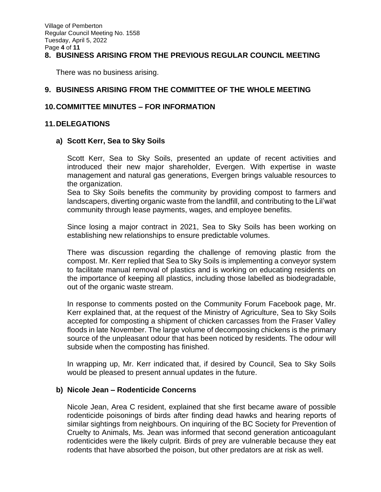## **8. BUSINESS ARISING FROM THE PREVIOUS REGULAR COUNCIL MEETING**

There was no business arising.

## **9. BUSINESS ARISING FROM THE COMMITTEE OF THE WHOLE MEETING**

## **10.COMMITTEE MINUTES – FOR INFORMATION**

## **11.DELEGATIONS**

## **a) Scott Kerr, Sea to Sky Soils**

Scott Kerr, Sea to Sky Soils, presented an update of recent activities and introduced their new major shareholder, Evergen. With expertise in waste management and natural gas generations, Evergen brings valuable resources to the organization.

Sea to Sky Soils benefits the community by providing compost to farmers and landscapers, diverting organic waste from the landfill, and contributing to the Lil'wat community through lease payments, wages, and employee benefits.

Since losing a major contract in 2021, Sea to Sky Soils has been working on establishing new relationships to ensure predictable volumes.

There was discussion regarding the challenge of removing plastic from the compost. Mr. Kerr replied that Sea to Sky Soils is implementing a conveyor system to facilitate manual removal of plastics and is working on educating residents on the importance of keeping all plastics, including those labelled as biodegradable, out of the organic waste stream.

In response to comments posted on the Community Forum Facebook page, Mr. Kerr explained that, at the request of the Ministry of Agriculture, Sea to Sky Soils accepted for composting a shipment of chicken carcasses from the Fraser Valley floods in late November. The large volume of decomposing chickens is the primary source of the unpleasant odour that has been noticed by residents. The odour will subside when the composting has finished.

In wrapping up, Mr. Kerr indicated that, if desired by Council, Sea to Sky Soils would be pleased to present annual updates in the future.

## **b) Nicole Jean – Rodenticide Concerns**

Nicole Jean, Area C resident, explained that she first became aware of possible rodenticide poisonings of birds after finding dead hawks and hearing reports of similar sightings from neighbours. On inquiring of the BC Society for Prevention of Cruelty to Animals, Ms. Jean was informed that second generation anticoagulant rodenticides were the likely culprit. Birds of prey are vulnerable because they eat rodents that have absorbed the poison, but other predators are at risk as well.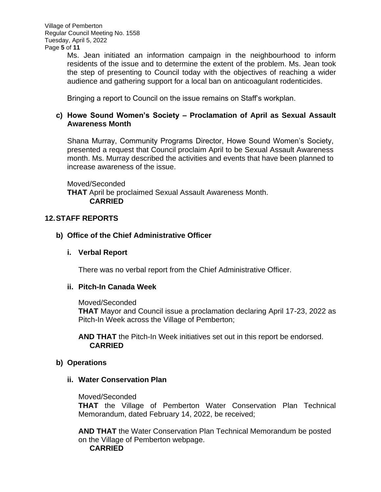Ms. Jean initiated an information campaign in the neighbourhood to inform residents of the issue and to determine the extent of the problem. Ms. Jean took the step of presenting to Council today with the objectives of reaching a wider audience and gathering support for a local ban on anticoagulant rodenticides.

Bringing a report to Council on the issue remains on Staff's workplan.

# **c) Howe Sound Women's Society – Proclamation of April as Sexual Assault Awareness Month**

Shana Murray, Community Programs Director, Howe Sound Women's Society, presented a request that Council proclaim April to be Sexual Assault Awareness month. Ms. Murray described the activities and events that have been planned to increase awareness of the issue.

Moved/Seconded **THAT** April be proclaimed Sexual Assault Awareness Month. **CARRIED**

# **12.STAFF REPORTS**

# **b) Office of the Chief Administrative Officer**

# **i. Verbal Report**

There was no verbal report from the Chief Administrative Officer.

# **ii. Pitch-In Canada Week**

Moved/Seconded

**THAT** Mayor and Council issue a proclamation declaring April 17-23, 2022 as Pitch-In Week across the Village of Pemberton;

**AND THAT** the Pitch-In Week initiatives set out in this report be endorsed. **CARRIED**

# **b) Operations**

# **ii. Water Conservation Plan**

Moved/Seconded

**THAT** the Village of Pemberton Water Conservation Plan Technical Memorandum, dated February 14, 2022, be received;

**AND THAT** the Water Conservation Plan Technical Memorandum be posted on the Village of Pemberton webpage. **CARRIED**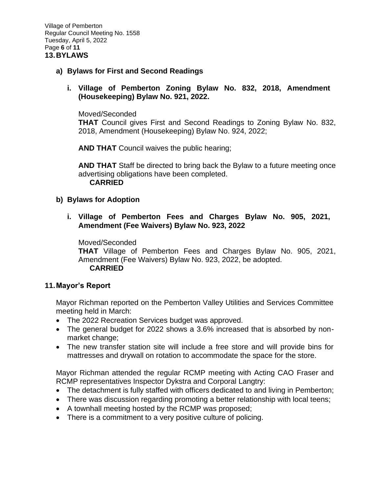Village of Pemberton Regular Council Meeting No. 1558 Tuesday, April 5, 2022 Page **6** of **11 13.BYLAWS**

## **a) Bylaws for First and Second Readings**

# **i. Village of Pemberton Zoning Bylaw No. 832, 2018, Amendment (Housekeeping) Bylaw No. 921, 2022.**

#### Moved/Seconded

**THAT** Council gives First and Second Readings to Zoning Bylaw No. 832, 2018, Amendment (Housekeeping) Bylaw No. 924, 2022;

**AND THAT** Council waives the public hearing;

**AND THAT** Staff be directed to bring back the Bylaw to a future meeting once advertising obligations have been completed. **CARRIED**

## **b) Bylaws for Adoption**

**i. Village of Pemberton Fees and Charges Bylaw No. 905, 2021, Amendment (Fee Waivers) Bylaw No. 923, 2022**

## Moved/Seconded

**THAT** Village of Pemberton Fees and Charges Bylaw No. 905, 2021, Amendment (Fee Waivers) Bylaw No. 923, 2022, be adopted. **CARRIED**

## **11.Mayor's Report**

Mayor Richman reported on the Pemberton Valley Utilities and Services Committee meeting held in March:

- The 2022 Recreation Services budget was approved.
- The general budget for 2022 shows a 3.6% increased that is absorbed by nonmarket change;
- The new transfer station site will include a free store and will provide bins for mattresses and drywall on rotation to accommodate the space for the store.

Mayor Richman attended the regular RCMP meeting with Acting CAO Fraser and RCMP representatives Inspector Dykstra and Corporal Langtry:

- The detachment is fully staffed with officers dedicated to and living in Pemberton;
- There was discussion regarding promoting a better relationship with local teens;
- A townhall meeting hosted by the RCMP was proposed;
- There is a commitment to a very positive culture of policing.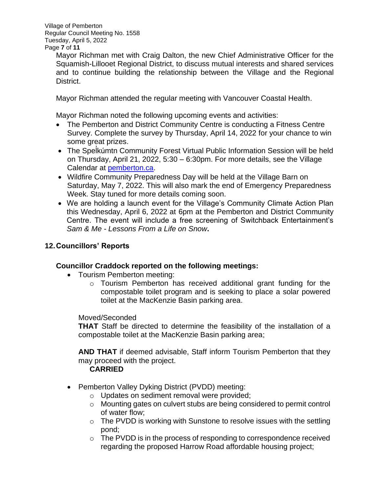Village of Pemberton Regular Council Meeting No. 1558 Tuesday, April 5, 2022 Page **7** of **11**

> Mayor Richman met with Craig Dalton, the new Chief Administrative Officer for the Squamish-Lillooet Regional District, to discuss mutual interests and shared services and to continue building the relationship between the Village and the Regional District.

Mayor Richman attended the regular meeting with Vancouver Coastal Health.

Mayor Richman noted the following upcoming events and activities:

- The Pemberton and District Community Centre is conducting a Fitness Centre Survey. Complete the survey by Thursday, April 14, 2022 for your chance to win some great prizes.
- The Spel ̓kúmtn Community Forest Virtual Public Information Session will be held on Thursday, April 21, 2022, 5:30 – 6:30pm. For more details, see the Village Calendar at [pemberton.ca.](http://www.pemberton.ca/)
- Wildfire Community Preparedness Day will be held at the Village Barn on Saturday, May 7, 2022. This will also mark the end of Emergency Preparedness Week. Stay tuned for more details coming soon.
- We are holding a launch event for the Village's Community Climate Action Plan this Wednesday, April 6, 2022 at 6pm at the Pemberton and District Community Centre. The event will include a free screening of Switchback Entertainment's *Sam & Me - Lessons From a Life on Snow***.**

# **12.Councillors' Reports**

# **Councillor Craddock reported on the following meetings:**

- Tourism Pemberton meeting:
	- o Tourism Pemberton has received additional grant funding for the compostable toilet program and is seeking to place a solar powered toilet at the MacKenzie Basin parking area.

# Moved/Seconded

**THAT** Staff be directed to determine the feasibility of the installation of a compostable toilet at the MacKenzie Basin parking area;

**AND THAT** if deemed advisable, Staff inform Tourism Pemberton that they may proceed with the project.

# **CARRIED**

- Pemberton Valley Dyking District (PVDD) meeting:
	- o Updates on sediment removal were provided;
	- o Mounting gates on culvert stubs are being considered to permit control of water flow;
	- o The PVDD is working with Sunstone to resolve issues with the settling pond;
	- $\circ$  The PVDD is in the process of responding to correspondence received regarding the proposed Harrow Road affordable housing project;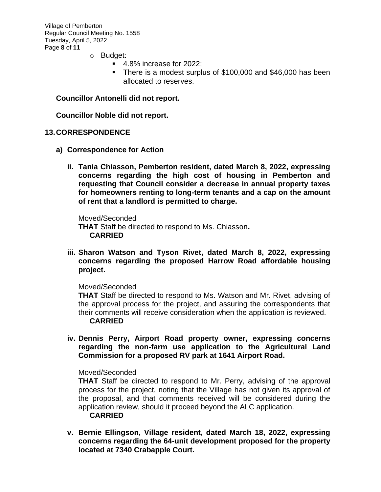Village of Pemberton Regular Council Meeting No. 1558 Tuesday, April 5, 2022 Page **8** of **11**

- o Budget:
	- 4.8% increase for 2022;
	- There is a modest surplus of \$100,000 and \$46,000 has been allocated to reserves.

#### **Councillor Antonelli did not report.**

**Councillor Noble did not report.**

#### **13.CORRESPONDENCE**

- **a) Correspondence for Action**
	- **ii. Tania Chiasson, Pemberton resident, dated March 8, 2022, expressing concerns regarding the high cost of housing in Pemberton and requesting that Council consider a decrease in annual property taxes for homeowners renting to long-term tenants and a cap on the amount of rent that a landlord is permitted to charge.**

Moved/Seconded **THAT** Staff be directed to respond to Ms. Chiasson**. CARRIED**

**iii. Sharon Watson and Tyson Rivet, dated March 8, 2022, expressing concerns regarding the proposed Harrow Road affordable housing project.**

Moved/Seconded

**THAT** Staff be directed to respond to Ms. Watson and Mr. Rivet, advising of the approval process for the project, and assuring the correspondents that their comments will receive consideration when the application is reviewed. **CARRIED**

**iv. Dennis Perry, Airport Road property owner, expressing concerns regarding the non-farm use application to the Agricultural Land Commission for a proposed RV park at 1641 Airport Road.** 

Moved/Seconded

**THAT** Staff be directed to respond to Mr. Perry, advising of the approval process for the project, noting that the Village has not given its approval of the proposal, and that comments received will be considered during the application review, should it proceed beyond the ALC application. **CARRIED**

**v. Bernie Ellingson, Village resident, dated March 18, 2022, expressing concerns regarding the 64-unit development proposed for the property located at 7340 Crabapple Court.**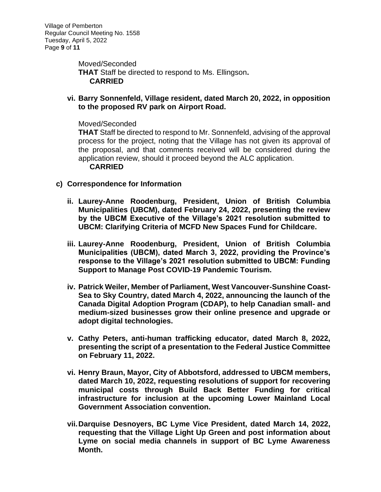Moved/Seconded **THAT** Staff be directed to respond to Ms. Ellingson**. CARRIED**

**vi. Barry Sonnenfeld, Village resident, dated March 20, 2022, in opposition to the proposed RV park on Airport Road.**

## Moved/Seconded

**THAT** Staff be directed to respond to Mr. Sonnenfeld, advising of the approval process for the project, noting that the Village has not given its approval of the proposal, and that comments received will be considered during the application review, should it proceed beyond the ALC application. **CARRIED**

- **c) Correspondence for Information**
	- **ii. Laurey-Anne Roodenburg, President, Union of British Columbia Municipalities (UBCM), dated February 24, 2022, presenting the review by the UBCM Executive of the Village's 2021 resolution submitted to UBCM: Clarifying Criteria of MCFD New Spaces Fund for Childcare.**
	- **iii. Laurey-Anne Roodenburg, President, Union of British Columbia Municipalities (UBCM), dated March 3, 2022, providing the Province's response to the Village's 2021 resolution submitted to UBCM: Funding Support to Manage Post COVID-19 Pandemic Tourism.**
	- **iv. Patrick Weiler, Member of Parliament, West Vancouver-Sunshine Coast-Sea to Sky Country, dated March 4, 2022, announcing the launch of the Canada Digital Adoption Program (CDAP), to help Canadian small- and medium-sized businesses grow their online presence and upgrade or adopt digital technologies.**
	- **v. Cathy Peters, anti-human trafficking educator, dated March 8, 2022, presenting the script of a presentation to the Federal Justice Committee on February 11, 2022.**
	- **vi. Henry Braun, Mayor, City of Abbotsford, addressed to UBCM members, dated March 10, 2022, requesting resolutions of support for recovering municipal costs through Build Back Better Funding for critical infrastructure for inclusion at the upcoming Lower Mainland Local Government Association convention.**
	- **vii.Darquise Desnoyers, BC Lyme Vice President, dated March 14, 2022, requesting that the Village Light Up Green and post information about Lyme on social media channels in support of BC Lyme Awareness Month.**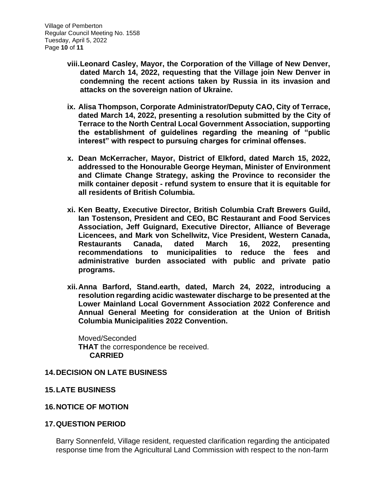- **viii.Leonard Casley, Mayor, the Corporation of the Village of New Denver, dated March 14, 2022, requesting that the Village join New Denver in condemning the recent actions taken by Russia in its invasion and attacks on the sovereign nation of Ukraine.**
- **ix. Alisa Thompson, Corporate Administrator/Deputy CAO, City of Terrace, dated March 14, 2022, presenting a resolution submitted by the City of Terrace to the North Central Local Government Association, supporting the establishment of guidelines regarding the meaning of "public interest" with respect to pursuing charges for criminal offenses.**
- **x. Dean McKerracher, Mayor, District of Elkford, dated March 15, 2022, addressed to the Honourable George Heyman, Minister of Environment and Climate Change Strategy, asking the Province to reconsider the milk container deposit - refund system to ensure that it is equitable for all residents of British Columbia.**
- **xi. Ken Beatty, Executive Director, British Columbia Craft Brewers Guild, Ian Tostenson, President and CEO, BC Restaurant and Food Services Association, Jeff Guignard, Executive Director, Alliance of Beverage Licencees, and Mark von Schellwitz, Vice President, Western Canada, Restaurants Canada, dated March 16, 2022, presenting recommendations to municipalities to reduce the fees and administrative burden associated with public and private patio programs.**
- **xii.Anna Barford, Stand.earth, dated, March 24, 2022, introducing a resolution regarding acidic wastewater discharge to be presented at the Lower Mainland Local Government Association 2022 Conference and Annual General Meeting for consideration at the Union of British Columbia Municipalities 2022 Convention.**

Moved/Seconded **THAT** the correspondence be received. **CARRIED**

# **14.DECISION ON LATE BUSINESS**

**15.LATE BUSINESS**

## **16.NOTICE OF MOTION**

## **17.QUESTION PERIOD**

Barry Sonnenfeld, Village resident, requested clarification regarding the anticipated response time from the Agricultural Land Commission with respect to the non-farm